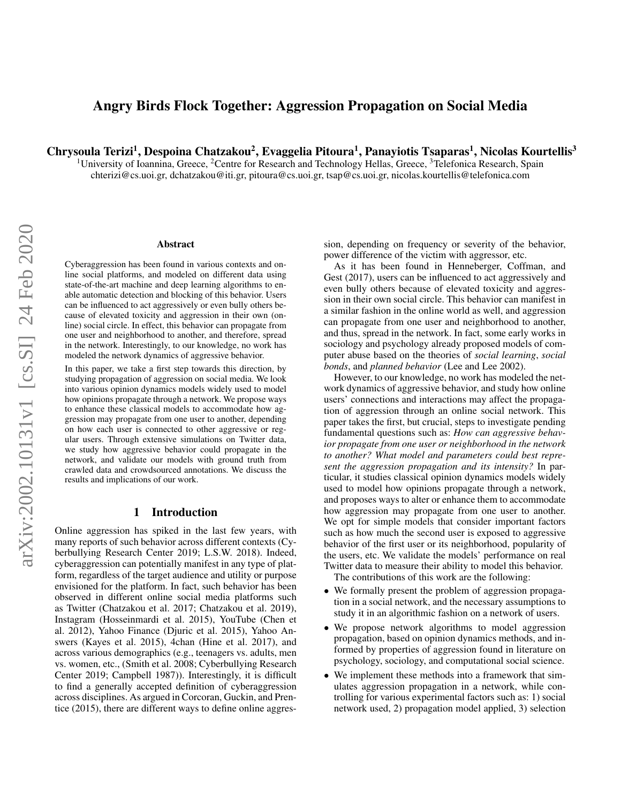# Angry Birds Flock Together: Aggression Propagation on Social Media

Chrysoula Terizi<sup>1</sup>, Despoina Chatzakou<sup>2</sup>, Evaggelia Pitoura<sup>1</sup>, Panayiotis Tsaparas<sup>1</sup>, Nicolas Kourtellis<sup>3</sup>

<sup>1</sup>University of Ioannina, Greece, <sup>2</sup>Centre for Research and Technology Hellas, Greece, <sup>3</sup>Telefonica Research, Spain chterizi@cs.uoi.gr, dchatzakou@iti.gr, pitoura@cs.uoi.gr, tsap@cs.uoi.gr, nicolas.kourtellis@telefonica.com

#### Abstract

Cyberaggression has been found in various contexts and online social platforms, and modeled on different data using state-of-the-art machine and deep learning algorithms to enable automatic detection and blocking of this behavior. Users can be influenced to act aggressively or even bully others because of elevated toxicity and aggression in their own (online) social circle. In effect, this behavior can propagate from one user and neighborhood to another, and therefore, spread in the network. Interestingly, to our knowledge, no work has modeled the network dynamics of aggressive behavior.

In this paper, we take a first step towards this direction, by studying propagation of aggression on social media. We look into various opinion dynamics models widely used to model how opinions propagate through a network. We propose ways to enhance these classical models to accommodate how aggression may propagate from one user to another, depending on how each user is connected to other aggressive or regular users. Through extensive simulations on Twitter data, we study how aggressive behavior could propagate in the network, and validate our models with ground truth from crawled data and crowdsourced annotations. We discuss the results and implications of our work.

### 1 Introduction

Online aggression has spiked in the last few years, with many reports of such behavior across different contexts [\(Cy](#page-8-0)[berbullying Research Center 2019;](#page-8-0) [L.S.W. 2018\)](#page-9-0). Indeed, cyberaggression can potentially manifest in any type of platform, regardless of the target audience and utility or purpose envisioned for the platform. In fact, such behavior has been observed in different online social media platforms such as Twitter [\(Chatzakou et al. 2017;](#page-8-1) [Chatzakou et al. 2019\)](#page-8-2), Instagram [\(Hosseinmardi et al. 2015\)](#page-9-1), YouTube [\(Chen et](#page-8-3) [al. 2012\)](#page-8-3), Yahoo Finance [\(Djuric et al. 2015\)](#page-8-4), Yahoo Answers [\(Kayes et al. 2015\)](#page-9-2), 4chan [\(Hine et al. 2017\)](#page-9-3), and across various demographics (e.g., teenagers vs. adults, men vs. women, etc., [\(Smith et al. 2008;](#page-9-4) [Cyberbullying Research](#page-8-0) [Center 2019;](#page-8-0) [Campbell 1987\)](#page-8-5)). Interestingly, it is difficult to find a generally accepted definition of cyberaggression across disciplines. As argued in [Corcoran, Guckin, and Pren](#page-8-6)[tice](#page-8-6) [\(2015\)](#page-8-6), there are different ways to define online aggres-

sion, depending on frequency or severity of the behavior, power difference of the victim with aggressor, etc.

As it has been found in [Henneberger, Coffman, and](#page-9-5) [Gest](#page-9-5) [\(2017\)](#page-9-5), users can be influenced to act aggressively and even bully others because of elevated toxicity and aggression in their own social circle. This behavior can manifest in a similar fashion in the online world as well, and aggression can propagate from one user and neighborhood to another, and thus, spread in the network. In fact, some early works in sociology and psychology already proposed models of computer abuse based on the theories of *social learning*, *social bonds*, and *planned behavior* [\(Lee and Lee 2002\)](#page-9-6).

However, to our knowledge, no work has modeled the network dynamics of aggressive behavior, and study how online users' connections and interactions may affect the propagation of aggression through an online social network. This paper takes the first, but crucial, steps to investigate pending fundamental questions such as: *How can aggressive behavior propagate from one user or neighborhood in the network to another? What model and parameters could best represent the aggression propagation and its intensity?* In particular, it studies classical opinion dynamics models widely used to model how opinions propagate through a network, and proposes ways to alter or enhance them to accommodate how aggression may propagate from one user to another. We opt for simple models that consider important factors such as how much the second user is exposed to aggressive behavior of the first user or its neighborhood, popularity of the users, etc. We validate the models' performance on real Twitter data to measure their ability to model this behavior.

The contributions of this work are the following:

- We formally present the problem of aggression propagation in a social network, and the necessary assumptions to study it in an algorithmic fashion on a network of users.
- We propose network algorithms to model aggression propagation, based on opinion dynamics methods, and informed by properties of aggression found in literature on psychology, sociology, and computational social science.
- We implement these methods into a framework that simulates aggression propagation in a network, while controlling for various experimental factors such as: 1) social network used, 2) propagation model applied, 3) selection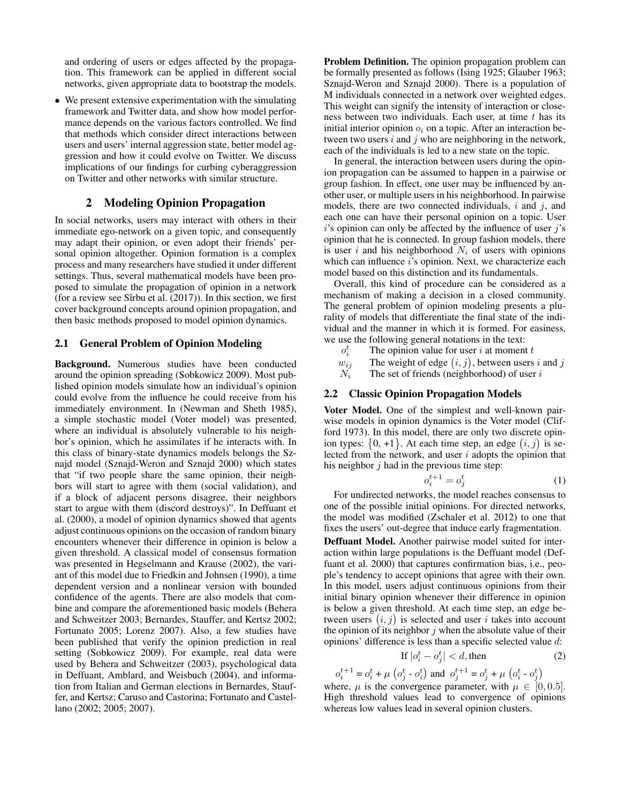and ordering of users or edges affected by the propagation. This framework can be applied in different social networks, given appropriate data to bootstrap the models.

• We present extensive experimentation with the simulating framework and Twitter data, and show how model performance depends on the various factors controlled. We find that methods which consider direct interactions between users and users' internal aggression state, better model aggression and how it could evolve on Twitter. We discuss implications of our findings for curbing cyberaggression on Twitter and other networks with similar structure.

## 2 Modeling Opinion Propagation

In social networks, users may interact with others in their immediate ego-network on a given topic, and consequently may adapt their opinion, or even adopt their friends' personal opinion altogether. Opinion formation is a complex process and many researchers have studied it under different settings. Thus, several mathematical models have been proposed to simulate the propagation of opinion in a network (for a review see Sîrbu et al.  $(2017)$ ). In this section, we first cover background concepts around opinion propagation, and then basic methods proposed to model opinion dynamics.

### 2.1 General Problem of Opinion Modeling

Background. Numerous studies have been conducted around the opinion spreading [\(Sobkowicz 2009\)](#page-9-8). Most published opinion models simulate how an individual's opinion could evolve from the influence he could receive from his immediately environment. In [\(Newman and Sheth 1985\)](#page-9-9), a simple stochastic model (Voter model) was presented, where an individual is absolutely vulnerable to his neighbor's opinion, which he assimilates if he interacts with. In this class of binary-state dynamics models belongs the Sznajd model [\(Sznajd-Weron and Sznajd 2000\)](#page-9-10) which states that "if two people share the same opinion, their neighbors will start to agree with them (social validation), and if a block of adjacent persons disagree, their neighbors start to argue with them (discord destroys)". In [Deffuant et](#page-8-7) [al.](#page-8-7) [\(2000\)](#page-8-7), a model of opinion dynamics showed that agents adjust continuous opinions on the occasion of random binary encounters whenever their difference in opinion is below a given threshold. A classical model of consensus formation was presented in [Hegselmann and Krause](#page-9-11) [\(2002\)](#page-9-11), the variant of this model due to [Friedkin and Johnsen](#page-9-12) [\(1990\)](#page-9-12), a time dependent version and a nonlinear version with bounded confidence of the agents. There are also models that combine and compare the aforementioned basic models [\(Behera](#page-8-8) [and Schweitzer 2003;](#page-8-8) [Bernardes, Stauffer, and Kertsz 2002;](#page-8-9) [Fortunato 2005;](#page-9-13) [Lorenz 2007\)](#page-9-14). Also, a few studies have been published that verify the opinion prediction in real setting [\(Sobkowicz 2009\)](#page-9-8). For example, real data were used by [Behera and Schweitzer](#page-8-8) [\(2003\)](#page-8-8), psychological data in [Deffuant, Amblard, and Weisbuch](#page-8-10) [\(2004\)](#page-8-10), and information from Italian and German elections in [Bernardes, Stauf](#page-8-9)[fer, and Kertsz;](#page-8-9) [Caruso and Castorina;](#page-8-11) [Fortunato and Castel](#page-9-15)[lano](#page-9-15) [\(2002;](#page-8-9) [2005;](#page-8-11) [2007\)](#page-9-15).

Problem Definition. The opinion propagation problem can be formally presented as follows [\(Ising 1925;](#page-9-16) [Glauber 1963;](#page-9-17) [Sznajd-Weron and Sznajd 2000\)](#page-9-10). There is a population of M individuals connected in a network over weighted edges. This weight can signify the intensity of interaction or closeness between two individuals. Each user, at time  $t$  has its initial interior opinion  $o_i$  on a topic. After an interaction between two users  $i$  and  $j$  who are neighboring in the network, each of the individuals is led to a new state on the topic.

In general, the interaction between users during the opinion propagation can be assumed to happen in a pairwise or group fashion. In effect, one user may be influenced by another user, or multiple users in his neighborhood. In pairwise models, there are two connected individuals,  $i$  and  $j$ , and each one can have their personal opinion on a topic. User  $i$ 's opinion can only be affected by the influence of user  $j$ 's opinion that he is connected. In group fashion models, there is user  $i$  and his neighborhood  $N_i$  of users with opinions which can influence *i*'s opinion. Next, we characterize each model based on this distinction and its fundamentals.

Overall, this kind of procedure can be considered as a mechanism of making a decision in a closed community. The general problem of opinion modeling presents a plurality of models that differentiate the final state of the individual and the manner in which it is formed. For easiness, we use the following general notations in the text:

- $o_i^t$ The opinion value for user  $i$  at moment  $t$
- $w_{ij}$  The weight of edge  $(i, j)$ , between users i and j

 $N_i$  The set of friends (neighborhood) of user i

### 2.2 Classic Opinion Propagation Models

Voter Model. One of the simplest and well-known pairwise models in opinion dynamics is the Voter model [\(Clif](#page-8-12)[ford 1973\)](#page-8-12). In this model, there are only two discrete opinion types:  $\{0, +1\}$ . At each time step, an edge  $(i, j)$  is selected from the network, and user  $i$  adopts the opinion that his neighbor  $j$  had in the previous time step:

$$
o_i^{t+1} = o_j^t \tag{1}
$$

For undirected networks, the model reaches consensus to one of the possible initial opinions. For directed networks, the model was modified [\(Zschaler et al. 2012\)](#page-9-18) to one that fixes the users' out-degree that induce early fragmentation.

Deffuant Model. Another pairwise model suited for interaction within large populations is the Deffuant model [\(Def](#page-8-7)[fuant et al. 2000\)](#page-8-7) that captures confirmation bias, i.e., people's tendency to accept opinions that agree with their own. In this model, users adjust continuous opinions from their initial binary opinion whenever their difference in opinion is below a given threshold. At each time step, an edge between users  $(i, j)$  is selected and user i takes into account the opinion of its neighbor  $j$  when the absolute value of their opinions' difference is less than a specific selected value d:

If 
$$
|o_i^t - o_j^t| < d
$$
, then (2)

$$
o_i^{t+1} = o_i^t + \mu \left( o_j^t - o_i^t \right) \text{ and } o_j^{t+1} = o_j^t + \mu \left( o_i^t - o_j^t \right)
$$

where,  $\mu$  is the convergence parameter, with  $\mu \in [0, 0.5]$ . High threshold values lead to convergence of opinions whereas low values lead in several opinion clusters.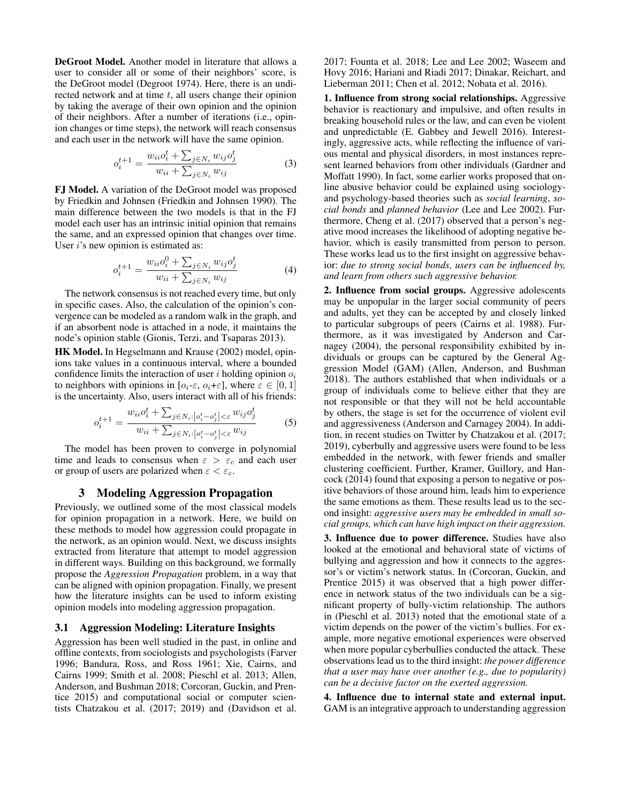DeGroot Model. Another model in literature that allows a user to consider all or some of their neighbors' score, is the DeGroot model [\(Degroot 1974\)](#page-8-13). Here, there is an undirected network and at time  $t$ , all users change their opinion by taking the average of their own opinion and the opinion of their neighbors. After a number of iterations (i.e., opinion changes or time steps), the network will reach consensus and each user in the network will have the same opinion.

$$
o_i^{t+1} = \frac{w_{ii}o_i^t + \sum_{j \in N_i} w_{ij}o_j^t}{w_{ii} + \sum_{j \in N_i} w_{ij}}
$$
(3)

FJ Model. A variation of the DeGroot model was proposed by Friedkin and Johnsen [\(Friedkin and Johnsen 1990\)](#page-9-12). The main difference between the two models is that in the FJ model each user has an intrinsic initial opinion that remains the same, and an expressed opinion that changes over time. User  $i$ 's new opinion is estimated as:

$$
o_i^{t+1} = \frac{w_{ii}o_i^0 + \sum_{j \in N_i} w_{ij}o_j^t}{w_{ii} + \sum_{j \in N_i} w_{ij}}
$$
(4)

The network consensus is not reached every time, but only in specific cases. Also, the calculation of the opinion's convergence can be modeled as a random walk in the graph, and if an absorbent node is attached in a node, it maintains the node's opinion stable [\(Gionis, Terzi, and Tsaparas 2013\)](#page-9-19).

HK Model. In [Hegselmann and Krause](#page-9-11) [\(2002\)](#page-9-11) model, opinions take values in a continuous interval, where a bounded confidence limits the interaction of user  $i$  holding opinion  $o_i$ to neighbors with opinions in  $[o_i-\varepsilon, o_i+\varepsilon]$ , where  $\varepsilon \in [0, 1]$ is the uncertainty. Also, users interact with all of his friends:

$$
o_i^{t+1} = \frac{w_{ii}o_i^t + \sum_{j \in N_i : |o_i^t - o_j^t| < \varepsilon} w_{ij}o_j^t}{w_{ii} + \sum_{j \in N_i : |o_i^t - o_j^t| < \varepsilon} w_{ij}} \tag{5}
$$

The model has been proven to converge in polynomial time and leads to consensus when  $\varepsilon > \varepsilon_c$  and each user or group of users are polarized when  $\varepsilon < \varepsilon_c$ .

### 3 Modeling Aggression Propagation

Previously, we outlined some of the most classical models for opinion propagation in a network. Here, we build on these methods to model how aggression could propagate in the network, as an opinion would. Next, we discuss insights extracted from literature that attempt to model aggression in different ways. Building on this background, we formally propose the *Aggression Propagation* problem, in a way that can be aligned with opinion propagation. Finally, we present how the literature insights can be used to inform existing opinion models into modeling aggression propagation.

### <span id="page-2-0"></span>3.1 Aggression Modeling: Literature Insights

Aggression has been well studied in the past, in online and offline contexts, from sociologists and psychologists [\(Farver](#page-8-14) [1996;](#page-8-14) [Bandura, Ross, and Ross 1961;](#page-8-15) [Xie, Cairns, and](#page-9-20) [Cairns 1999;](#page-9-20) [Smith et al. 2008;](#page-9-4) [Pieschl et al. 2013;](#page-9-21) [Allen,](#page-8-16) [Anderson, and Bushman 2018;](#page-8-16) [Corcoran, Guckin, and Pren](#page-8-6)[tice 2015\)](#page-8-6) and computational social or computer scientists Chatzakou et al. [\(2017;](#page-8-1) [2019\)](#page-8-2) and [\(Davidson et al.](#page-8-17) [2017;](#page-8-17) [Founta et al. 2018;](#page-9-22) [Lee and Lee 2002;](#page-9-6) [Waseem and](#page-9-23) [Hovy 2016;](#page-9-23) [Hariani and Riadi 2017;](#page-9-24) [Dinakar, Reichart, and](#page-8-18) [Lieberman 2011;](#page-8-18) [Chen et al. 2012;](#page-8-3) [Nobata et al. 2016\)](#page-9-25).

1. Influence from strong social relationships. Aggressive behavior is reactionary and impulsive, and often results in breaking household rules or the law, and can even be violent and unpredictable [\(E. Gabbey and Jewell 2016\)](#page-8-19). Interestingly, aggressive acts, while reflecting the influence of various mental and physical disorders, in most instances represent learned behaviors from other individuals [\(Gardner and](#page-9-26) [Moffatt 1990\)](#page-9-26). In fact, some earlier works proposed that online abusive behavior could be explained using sociologyand psychology-based theories such as *social learning*, *social bonds* and *planned behavior* [\(Lee and Lee 2002\)](#page-9-6). Furthermore, [Cheng et al.](#page-8-20) [\(2017\)](#page-8-20) observed that a person's negative mood increases the likelihood of adopting negative behavior, which is easily transmitted from person to person. These works lead us to the first insight on aggressive behavior: *due to strong social bonds, users can be influenced by, and learn from others such aggressive behavior.*

2. Influence from social groups. Aggressive adolescents may be unpopular in the larger social community of peers and adults, yet they can be accepted by and closely linked to particular subgroups of peers [\(Cairns et al. 1988\)](#page-8-21). Furthermore, as it was investigated by [Anderson and Car](#page-8-22)[nagey](#page-8-22) [\(2004\)](#page-8-22), the personal responsibility exhibited by individuals or groups can be captured by the General Aggression Model (GAM) [\(Allen, Anderson, and Bushman](#page-8-16) [2018\)](#page-8-16). The authors established that when individuals or a group of individuals come to believe either that they are not responsible or that they will not be held accountable by others, the stage is set for the occurrence of violent evil and aggressiveness [\(Anderson and Carnagey 2004\)](#page-8-22). In addition, in recent studies on Twitter by Chatzakou et al. [\(2017;](#page-8-1) [2019\)](#page-8-2), cyberbully and aggressive users were found to be less embedded in the network, with fewer friends and smaller clustering coefficient. Further, [Kramer, Guillory, and Han](#page-9-27)[cock](#page-9-27) [\(2014\)](#page-9-27) found that exposing a person to negative or positive behaviors of those around him, leads him to experience the same emotions as them. These results lead us to the second insight: *aggressive users may be embedded in small social groups, which can have high impact on their aggression.*

3. Influence due to power difference. Studies have also looked at the emotional and behavioral state of victims of bullying and aggression and how it connects to the aggressor's or victim's network status. In [\(Corcoran, Guckin, and](#page-8-6) [Prentice 2015\)](#page-8-6) it was observed that a high power difference in network status of the two individuals can be a significant property of bully-victim relationship. The authors in [\(Pieschl et al. 2013\)](#page-9-21) noted that the emotional state of a victim depends on the power of the victim's bullies. For example, more negative emotional experiences were observed when more popular cyberbullies conducted the attack. These observations lead us to the third insight: *the power difference that a user may have over another (e.g., due to popularity) can be a decisive factor on the exerted aggression.*

4. Influence due to internal state and external input. GAM is an integrative approach to understanding aggression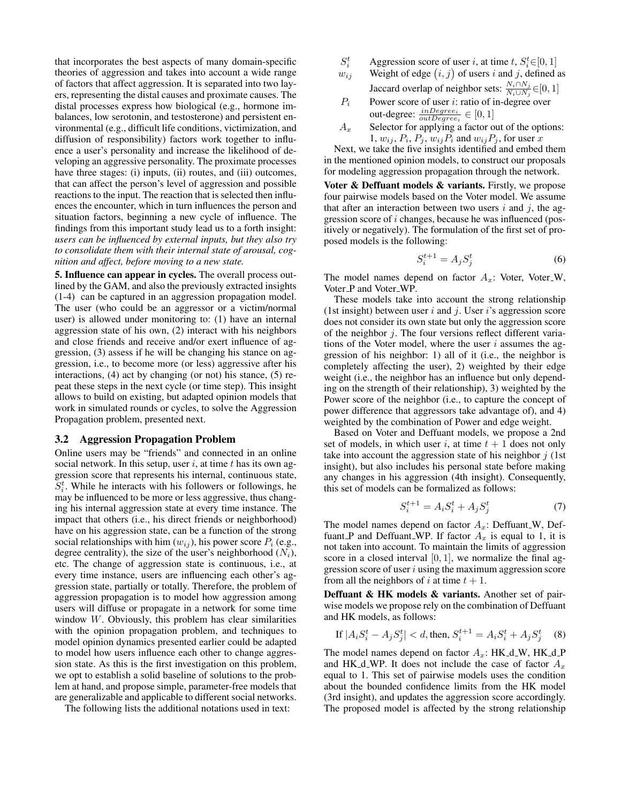that incorporates the best aspects of many domain-specific theories of aggression and takes into account a wide range of factors that affect aggression. It is separated into two layers, representing the distal causes and proximate causes. The distal processes express how biological (e.g., hormone imbalances, low serotonin, and testosterone) and persistent environmental (e.g., difficult life conditions, victimization, and diffusion of responsibility) factors work together to influence a user's personality and increase the likelihood of developing an aggressive personality. The proximate processes have three stages: (i) inputs, (ii) routes, and (iii) outcomes, that can affect the person's level of aggression and possible reactions to the input. The reaction that is selected then influences the encounter, which in turn influences the person and situation factors, beginning a new cycle of influence. The findings from this important study lead us to a forth insight: *users can be influenced by external inputs, but they also try to consolidate them with their internal state of arousal, cognition and affect, before moving to a new state.*

5. Influence can appear in cycles. The overall process outlined by the GAM, and also the previously extracted insights (1-4) can be captured in an aggression propagation model. The user (who could be an aggressor or a victim/normal user) is allowed under monitoring to: (1) have an internal aggression state of his own, (2) interact with his neighbors and close friends and receive and/or exert influence of aggression, (3) assess if he will be changing his stance on aggression, i.e., to become more (or less) aggressive after his interactions, (4) act by changing (or not) his stance, (5) repeat these steps in the next cycle (or time step). This insight allows to build on existing, but adapted opinion models that work in simulated rounds or cycles, to solve the Aggression Propagation problem, presented next.

### 3.2 Aggression Propagation Problem

Online users may be "friends" and connected in an online social network. In this setup, user  $i$ , at time  $t$  has its own aggression score that represents his internal, continuous state,  $S_i^t$ . While he interacts with his followers or followings, he may be influenced to be more or less aggressive, thus changing his internal aggression state at every time instance. The impact that others (i.e., his direct friends or neighborhood) have on his aggression state, can be a function of the strong social relationships with him  $(w_{ij})$ , his power score  $P_i$  (e.g., degree centrality), the size of the user's neighborhood  $(N_i)$ , etc. The change of aggression state is continuous, i.e., at every time instance, users are influencing each other's aggression state, partially or totally. Therefore, the problem of aggression propagation is to model how aggression among users will diffuse or propagate in a network for some time window  $W$ . Obviously, this problem has clear similarities with the opinion propagation problem, and techniques to model opinion dynamics presented earlier could be adapted to model how users influence each other to change aggression state. As this is the first investigation on this problem, we opt to establish a solid baseline of solutions to the problem at hand, and propose simple, parameter-free models that are generalizable and applicable to different social networks.

The following lists the additional notations used in text:

- $S_i^t$  $i_i^t$  Aggression score of user i, at time t,  $S_i^t \in [0, 1]$
- $w_{ij}$  Weight of edge  $(i, j)$  of users i and j, defined as Jaccard overlap of neighbor sets:  $\frac{N_i \cap N_j}{N_i \cup N_j}$  ∈ $[0, 1]$
- $P_i$  Power score of user *i*: ratio of in-degree over out-degree:  $\frac{inDegree_i}{outDegree_i} \in [0, 1]$
- $A_x$  Selector for applying a factor out of the options: 1,  $w_{ij}$ ,  $P_i$ ,  $P_j$ ,  $w_{ij}P_i$  and  $w_{ij}P_j$ , for user x

Next, we take the five insights identified and embed them in the mentioned opinion models, to construct our proposals for modeling aggression propagation through the network.

Voter & Deffuant models & variants. Firstly, we propose four pairwise models based on the Voter model. We assume that after an interaction between two users i and j, the aggression score of i changes, because he was influenced (positively or negatively). The formulation of the first set of proposed models is the following:

$$
S_i^{t+1} = A_j S_j^t \tag{6}
$$

The model names depend on factor  $A_x$ : Voter, Voter<sub>-W</sub>, Voter\_P and Voter\_WP.

These models take into account the strong relationship (1st insight) between user  $i$  and  $j$ . User  $i$ 's aggression score does not consider its own state but only the aggression score of the neighbor  $j$ . The four versions reflect different variations of the Voter model, where the user  $i$  assumes the aggression of his neighbor: 1) all of it (i.e., the neighbor is completely affecting the user), 2) weighted by their edge weight (i.e., the neighbor has an influence but only depending on the strength of their relationship), 3) weighted by the Power score of the neighbor (i.e., to capture the concept of power difference that aggressors take advantage of), and 4) weighted by the combination of Power and edge weight.

Based on Voter and Deffuant models, we propose a 2nd set of models, in which user i, at time  $t + 1$  does not only take into account the aggression state of his neighbor  $j$  (1st insight), but also includes his personal state before making any changes in his aggression (4th insight). Consequently, this set of models can be formalized as follows:

$$
S_i^{t+1} = A_i S_i^t + A_j S_j^t \tag{7}
$$

The model names depend on factor  $A_x$ : Deffuant W, Deffuant P and Deffuant WP. If factor  $A_x$  is equal to 1, it is not taken into account. To maintain the limits of aggression score in a closed interval  $[0, 1]$ , we normalize the final aggression score of user  $i$  using the maximum aggression score from all the neighbors of i at time  $t + 1$ .

Deffuant & HK models & variants. Another set of pairwise models we propose rely on the combination of Deffuant and HK models, as follows:

If 
$$
|A_i S_i^t - A_j S_j^t| < d
$$
, then,  $S_i^{t+1} = A_i S_i^t + A_j S_j^t$  (8)

The model names depend on factor  $A_x$ : HK\_d\_W, HK\_d\_P and HK\_d\_WP. It does not include the case of factor  $A_x$ equal to 1. This set of pairwise models uses the condition about the bounded confidence limits from the HK model (3rd insight), and updates the aggression score accordingly. The proposed model is affected by the strong relationship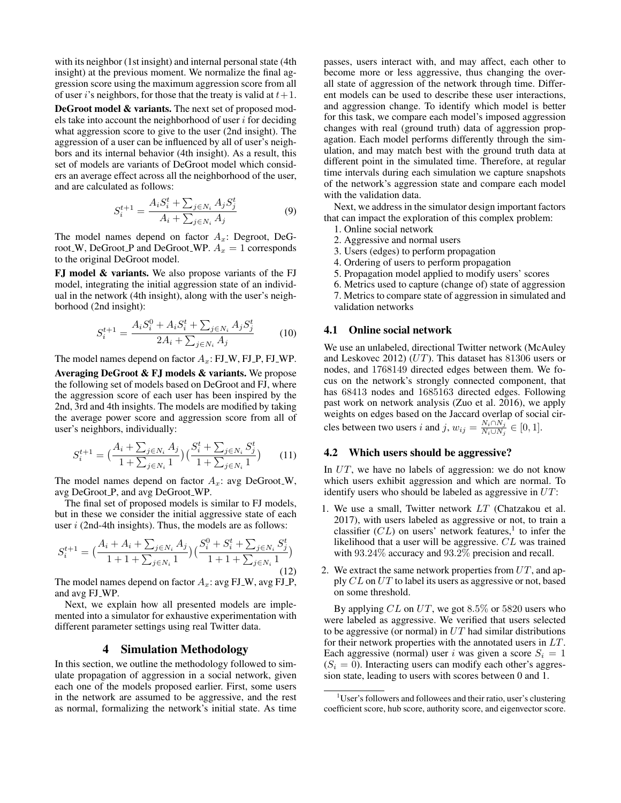with its neighbor (1st insight) and internal personal state (4th insight) at the previous moment. We normalize the final aggression score using the maximum aggression score from all of user *i*'s neighbors, for those that the treaty is valid at  $t+1$ .

DeGroot model & variants. The next set of proposed models take into account the neighborhood of user  $i$  for deciding what aggression score to give to the user (2nd insight). The aggression of a user can be influenced by all of user's neighbors and its internal behavior (4th insight). As a result, this set of models are variants of DeGroot model which considers an average effect across all the neighborhood of the user, and are calculated as follows:

$$
S_i^{t+1} = \frac{A_i S_i^t + \sum_{j \in N_i} A_j S_j^t}{A_i + \sum_{j \in N_i} A_j}
$$
(9)

The model names depend on factor  $A_x$ : Degroot, DeGroot\_W, DeGroot\_P and DeGroot\_WP.  $A_x = 1$  corresponds to the original DeGroot model.

FJ model & variants. We also propose variants of the FJ model, integrating the initial aggression state of an individual in the network (4th insight), along with the user's neighborhood (2nd insight):

$$
S_i^{t+1} = \frac{A_i S_i^0 + A_i S_i^t + \sum_{j \in N_i} A_j S_j^t}{2A_i + \sum_{j \in N_i} A_j}
$$
(10)

The model names depend on factor  $A_x$ : FJ\_W, FJ\_P, FJ\_WP. Averaging DeGroot & FJ models & variants. We propose the following set of models based on DeGroot and FJ, where the aggression score of each user has been inspired by the 2nd, 3rd and 4th insights. The models are modified by taking the average power score and aggression score from all of user's neighbors, individually:

$$
S_i^{t+1} = \left(\frac{A_i + \sum_{j \in N_i} A_j}{1 + \sum_{j \in N_i} 1}\right) \left(\frac{S_i^t + \sum_{j \in N_i} S_j^t}{1 + \sum_{j \in N_i} 1}\right) \tag{11}
$$

The model names depend on factor  $A_x$ : avg DeGroot<sub>-W</sub>, avg DeGroot\_P, and avg DeGroot\_WP.

The final set of proposed models is similar to FJ models, but in these we consider the initial aggressive state of each user  $i$  (2nd-4th insights). Thus, the models are as follows:

$$
S_i^{t+1} = \left(\frac{A_i + A_i + \sum_{j \in N_i} A_j}{1 + 1 + \sum_{j \in N_i} 1}\right) \left(\frac{S_i^0 + S_i^t + \sum_{j \in N_i} S_j^t}{1 + 1 + \sum_{j \in N_i} 1}\right)
$$
\n(12)

The model names depend on factor  $A_x$ : avg FJ\_W, avg FJ\_P, and avg FJ WP.

Next, we explain how all presented models are implemented into a simulator for exhaustive experimentation with different parameter settings using real Twitter data.

### 4 Simulation Methodology

In this section, we outline the methodology followed to simulate propagation of aggression in a social network, given each one of the models proposed earlier. First, some users in the network are assumed to be aggressive, and the rest as normal, formalizing the network's initial state. As time

passes, users interact with, and may affect, each other to become more or less aggressive, thus changing the overall state of aggression of the network through time. Different models can be used to describe these user interactions, and aggression change. To identify which model is better for this task, we compare each model's imposed aggression changes with real (ground truth) data of aggression propagation. Each model performs differently through the simulation, and may match best with the ground truth data at different point in the simulated time. Therefore, at regular time intervals during each simulation we capture snapshots of the network's aggression state and compare each model with the validation data.

Next, we address in the simulator design important factors that can impact the exploration of this complex problem:

- 1. Online social network
- 2. Aggressive and normal users
- 3. Users (edges) to perform propagation
- 4. Ordering of users to perform propagation
- 5. Propagation model applied to modify users' scores
- 6. Metrics used to capture (change of) state of aggression

7. Metrics to compare state of aggression in simulated and validation networks

### 4.1 Online social network

We use an unlabeled, directional Twitter network [\(McAuley](#page-9-28) [and Leskovec 2012\)](#page-9-28) (UT). This dataset has 81306 users or nodes, and 1768149 directed edges between them. We focus on the network's strongly connected component, that has 68413 nodes and 1685163 directed edges. Following past work on network analysis [\(Zuo et al. 2016\)](#page-9-29), we apply weights on edges based on the Jaccard overlap of social circles between two users i and j,  $w_{ij} = \frac{N_i \cap N_j}{N_i \cup N_i}$  $\frac{N_i\sqcup N_j}{N_i\cup N_j}\in [0,1].$ 

### 4.2 Which users should be aggressive?

In UT, we have no labels of aggression: we do not know which users exhibit aggression and which are normal. To identify users who should be labeled as aggressive in  $UT$ :

- 1. We use a small, Twitter network  $LT$  [\(Chatzakou et al.](#page-8-1) [2017\)](#page-8-1), with users labeled as aggressive or not, to train a classifier  $CL$ ) on users' network features,<sup>[1](#page-4-0)</sup> to infer the likelihood that a user will be aggressive. CL was trained with 93.24% accuracy and 93.2% precision and recall.
- 2. We extract the same network properties from  $UT$ , and apply CL on UT to label its users as aggressive or not, based on some threshold.

By applying  $CL$  on  $UT$ , we got 8.5% or 5820 users who were labeled as aggressive. We verified that users selected to be aggressive (or normal) in  $UT$  had similar distributions for their network properties with the annotated users in LT. Each aggressive (normal) user i was given a score  $S_i = 1$  $(S<sub>i</sub> = 0)$ . Interacting users can modify each other's aggression state, leading to users with scores between 0 and 1.

<span id="page-4-0"></span><sup>&</sup>lt;sup>1</sup>User's followers and followees and their ratio, user's clustering coefficient score, hub score, authority score, and eigenvector score.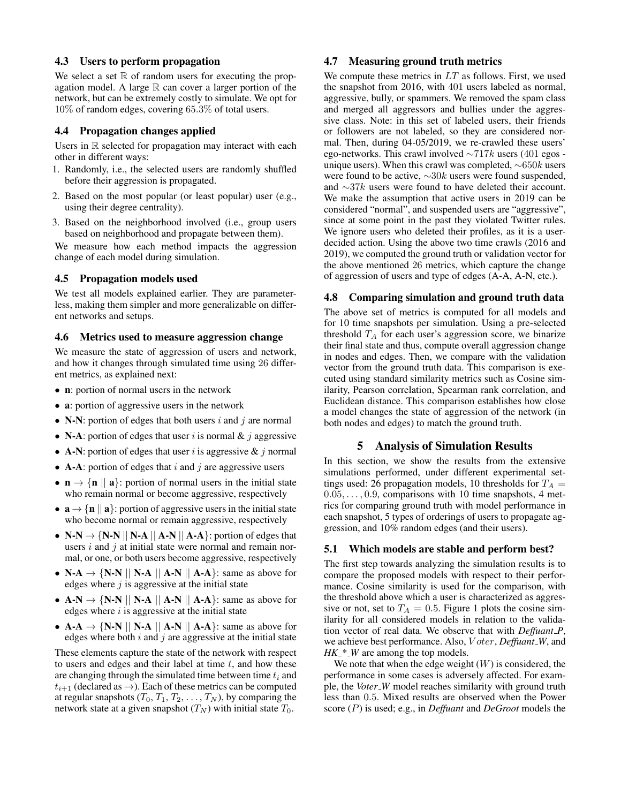### 4.3 Users to perform propagation

We select a set  $\mathbb R$  of random users for executing the propagation model. A large  $\mathbb R$  can cover a larger portion of the network, but can be extremely costly to simulate. We opt for 10% of random edges, covering 65.3% of total users.

### 4.4 Propagation changes applied

Users in R selected for propagation may interact with each other in different ways:

- 1. Randomly, i.e., the selected users are randomly shuffled before their aggression is propagated.
- 2. Based on the most popular (or least popular) user (e.g., using their degree centrality).
- 3. Based on the neighborhood involved (i.e., group users based on neighborhood and propagate between them).

We measure how each method impacts the aggression change of each model during simulation.

### 4.5 Propagation models used

We test all models explained earlier. They are parameterless, making them simpler and more generalizable on different networks and setups.

#### 4.6 Metrics used to measure aggression change

We measure the state of aggression of users and network, and how it changes through simulated time using 26 different metrics, as explained next:

- n: portion of normal users in the network
- **a**: portion of aggressive users in the network
- N-N: portion of edges that both users i and j are normal
- N-A: portion of edges that user i is normal  $\&\, j$  aggressive
- A-N: portion of edges that user i is aggressive  $\&$  j normal
- **A-A**: portion of edges that i and j are aggressive users
- $\mathbf{n} \rightarrow \{\mathbf{n} \mid \mathbf{a}\}\$ : portion of normal users in the initial state who remain normal or become aggressive, respectively
- $\mathbf{a} \rightarrow {\mathbf{n} \mid \mathbf{a}}$ : portion of aggressive users in the initial state who become normal or remain aggressive, respectively
- N-N  $\rightarrow \{N\text{-}N \mid N\text{-}A \mid A\text{-}N \mid A\text{-}A\}$ : portion of edges that users  $i$  and  $j$  at initial state were normal and remain normal, or one, or both users become aggressive, respectively
- N-A  $\rightarrow$  {N-N || N-A || A-N || A-A}: same as above for edges where  $j$  is aggressive at the initial state
- $A-N \rightarrow \{N-N \mid N-A \mid A-N \mid A-A\}$ : same as above for edges where  $i$  is aggressive at the initial state
- $A-A \rightarrow \{N-N \mid N-A \mid A-N \mid A-A\}$ : same as above for edges where both  $i$  and  $j$  are aggressive at the initial state

These elements capture the state of the network with respect to users and edges and their label at time  $t$ , and how these are changing through the simulated time between time  $t_i$  and  $t_{i+1}$  (declared as  $\rightarrow$ ). Each of these metrics can be computed at regular snapshots  $(T_0, T_1, T_2, \ldots, T_N)$ , by comparing the network state at a given snapshot  $(T_N)$  with initial state  $T_0$ .

### 4.7 Measuring ground truth metrics

We compute these metrics in  $LT$  as follows. First, we used the snapshot from 2016, with 401 users labeled as normal, aggressive, bully, or spammers. We removed the spam class and merged all aggressors and bullies under the aggressive class. Note: in this set of labeled users, their friends or followers are not labeled, so they are considered normal. Then, during 04-05/2019, we re-crawled these users' ego-networks. This crawl involved  $\sim$ 717k users (401 egos unique users). When this crawl was completed, ∼650k users were found to be active,  $\sim 30k$  users were found suspended, and ∼37k users were found to have deleted their account. We make the assumption that active users in 2019 can be considered "normal", and suspended users are "aggressive", since at some point in the past they violated Twitter rules. We ignore users who deleted their profiles, as it is a userdecided action. Using the above two time crawls (2016 and 2019), we computed the ground truth or validation vector for the above mentioned 26 metrics, which capture the change of aggression of users and type of edges (A-A, A-N, etc.).

#### 4.8 Comparing simulation and ground truth data

The above set of metrics is computed for all models and for 10 time snapshots per simulation. Using a pre-selected threshold  $T_A$  for each user's aggression score, we binarize their final state and thus, compute overall aggression change in nodes and edges. Then, we compare with the validation vector from the ground truth data. This comparison is executed using standard similarity metrics such as Cosine similarity, Pearson correlation, Spearman rank correlation, and Euclidean distance. This comparison establishes how close a model changes the state of aggression of the network (in both nodes and edges) to match the ground truth.

### 5 Analysis of Simulation Results

In this section, we show the results from the extensive simulations performed, under different experimental settings used: 26 propagation models, 10 thresholds for  $T_A =$  $0.05, \ldots, 0.9$ , comparisons with 10 time snapshots, 4 metrics for comparing ground truth with model performance in each snapshot, 5 types of orderings of users to propagate aggression, and 10% random edges (and their users).

#### 5.1 Which models are stable and perform best?

The first step towards analyzing the simulation results is to compare the proposed models with respect to their performance. Cosine similarity is used for the comparison, with the threshold above which a user is characterized as aggressive or not, set to  $T_A = 0.5$ . Figure [1](#page-6-0) plots the cosine similarity for all considered models in relation to the validation vector of real data. We observe that with *Deffuant P*, we achieve best performance. Also, V oter, *Deffuant W*, and *HK*  $\mathsf{N}^*$  *W* are among the top models.

We note that when the edge weight  $(W)$  is considered, the performance in some cases is adversely affected. For example, the *Voter*<sub>-</sub>*W* model reaches similarity with ground truth less than 0.5. Mixed results are observed when the Power score (P) is used; e.g., in *Deffuant* and *DeGroot* models the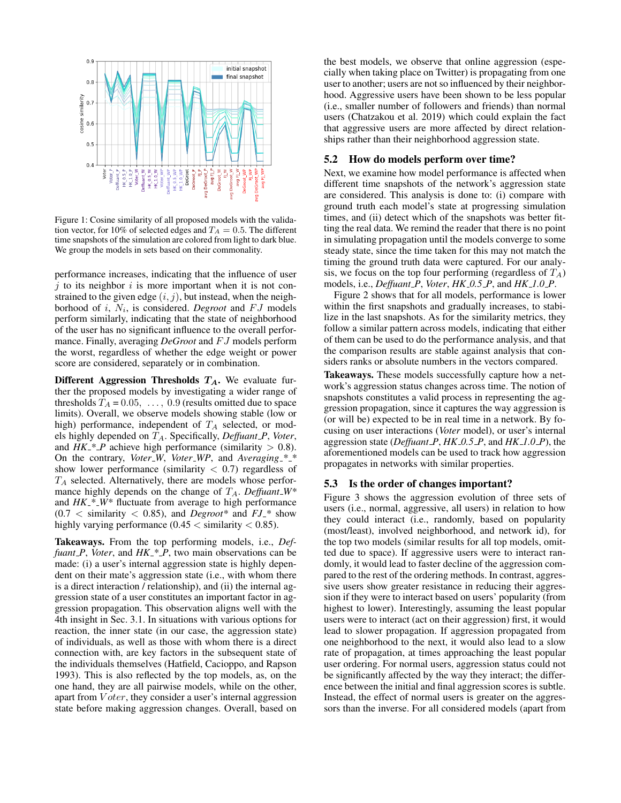<span id="page-6-0"></span>

Figure 1: Cosine similarity of all proposed models with the validation vector, for 10% of selected edges and  $T_A = 0.5$ . The different time snapshots of the simulation are colored from light to dark blue. We group the models in sets based on their commonality.

performance increases, indicating that the influence of user  $i$  to its neighbor  $i$  is more important when it is not constrained to the given edge  $(i, j)$ , but instead, when the neighborhood of *i*,  $N_i$ , is considered. *Degroot* and FJ models perform similarly, indicating that the state of neighborhood of the user has no significant influence to the overall performance. Finally, averaging *DeGroot* and FJ models perform the worst, regardless of whether the edge weight or power score are considered, separately or in combination.

Different Aggression Thresholds  $T_A$ . We evaluate further the proposed models by investigating a wider range of thresholds  $T_A = 0.05, \ldots, 0.9$  (results omitted due to space limits). Overall, we observe models showing stable (low or high) performance, independent of  $T_A$  selected, or models highly depended on  $T_A$ . Specifically, *Deffuant*  $P$ , *Voter*, and  $HK^*$  *P* achieve high performance (similarity  $> 0.8$ ). On the contrary, *Voter W*, *Voter WP*, and *Averaging \* \** show lower performance (similarity  $< 0.7$ ) regardless of  $T_A$  selected. Alternatively, there are models whose performance highly depends on the change of TA. *Deffuant W\** and *HK \* W\** fluctuate from average to high performance  $(0.7 <$  similarity  $< 0.85$ ), and *Degroot*<sup>\*</sup> and  $FJ_*$ <sup>\*</sup> show highly varying performance  $(0.45 <$  similarity  $< 0.85$ ).

Takeaways. From the top performing models, i.e., *Deffuant P*, *Voter*, and *HK \* P*, two main observations can be made: (i) a user's internal aggression state is highly dependent on their mate's aggression state (i.e., with whom there is a direct interaction / relationship), and (ii) the internal aggression state of a user constitutes an important factor in aggression propagation. This observation aligns well with the 4th insight in Sec. [3.1.](#page-2-0) In situations with various options for reaction, the inner state (in our case, the aggression state) of individuals, as well as those with whom there is a direct connection with, are key factors in the subsequent state of the individuals themselves [\(Hatfield, Cacioppo, and Rapson](#page-9-30) [1993\)](#page-9-30). This is also reflected by the top models, as, on the one hand, they are all pairwise models, while on the other, apart from *V oter*, they consider a user's internal aggression state before making aggression changes. Overall, based on

the best models, we observe that online aggression (especially when taking place on Twitter) is propagating from one user to another; users are not so influenced by their neighborhood. Aggressive users have been shown to be less popular (i.e., smaller number of followers and friends) than normal users [\(Chatzakou et al. 2019\)](#page-8-2) which could explain the fact that aggressive users are more affected by direct relationships rather than their neighborhood aggression state.

### 5.2 How do models perform over time?

Next, we examine how model performance is affected when different time snapshots of the network's aggression state are considered. This analysis is done to: (i) compare with ground truth each model's state at progressing simulation times, and (ii) detect which of the snapshots was better fitting the real data. We remind the reader that there is no point in simulating propagation until the models converge to some steady state, since the time taken for this may not match the timing the ground truth data were captured. For our analysis, we focus on the top four performing (regardless of  $T_A$ ) models, i.e., *Deffuant P*, *Voter*, *HK 0.5 P*, and *HK 1.0 P*.

Figure [2](#page-7-0) shows that for all models, performance is lower within the first snapshots and gradually increases, to stabilize in the last snapshots. As for the similarity metrics, they follow a similar pattern across models, indicating that either of them can be used to do the performance analysis, and that the comparison results are stable against analysis that considers ranks or absolute numbers in the vectors compared.

Takeaways. These models successfully capture how a network's aggression status changes across time. The notion of snapshots constitutes a valid process in representing the aggression propagation, since it captures the way aggression is (or will be) expected to be in real time in a network. By focusing on user interactions (*Voter* model), or user's internal aggression state (*Deffuant P*, *HK 0.5 P*, and *HK 1.0 P*), the aforementioned models can be used to track how aggression propagates in networks with similar properties.

### 5.3 Is the order of changes important?

Figure [3](#page-7-1) shows the aggression evolution of three sets of users (i.e., normal, aggressive, all users) in relation to how they could interact (i.e., randomly, based on popularity (most/least), involved neighborhood, and network id), for the top two models (similar results for all top models, omitted due to space). If aggressive users were to interact randomly, it would lead to faster decline of the aggression compared to the rest of the ordering methods. In contrast, aggressive users show greater resistance in reducing their aggression if they were to interact based on users' popularity (from highest to lower). Interestingly, assuming the least popular users were to interact (act on their aggression) first, it would lead to slower propagation. If aggression propagated from one neighborhood to the next, it would also lead to a slow rate of propagation, at times approaching the least popular user ordering. For normal users, aggression status could not be significantly affected by the way they interact; the difference between the initial and final aggression scores is subtle. Instead, the effect of normal users is greater on the aggressors than the inverse. For all considered models (apart from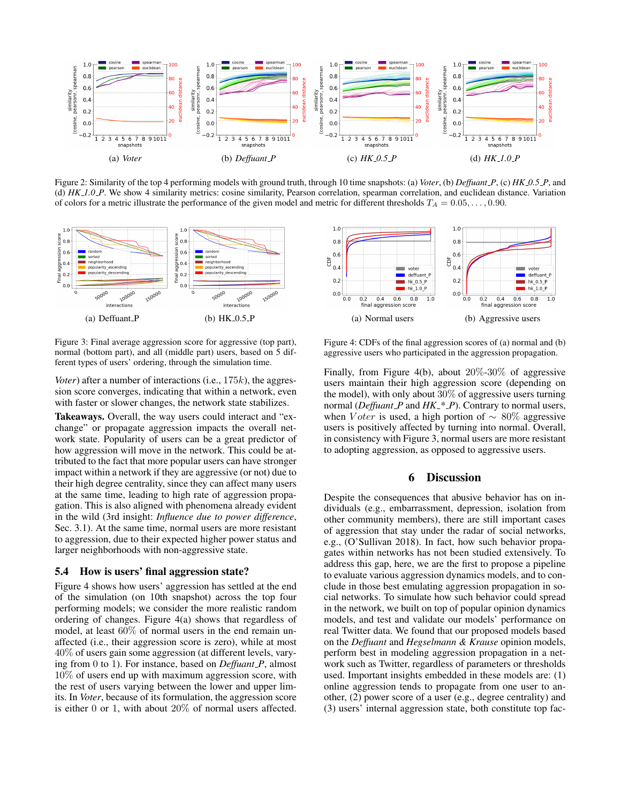<span id="page-7-0"></span>

Figure 2: Similarity of the top 4 performing models with ground truth, through 10 time snapshots: (a) *Voter*, (b) *Deffuant P*, (c) *HK 0.5 P*, and (d) *HK 1.0 P*. We show 4 similarity metrics: cosine similarity, Pearson correlation, spearman correlation, and euclidean distance. Variation of colors for a metric illustrate the performance of the given model and metric for different thresholds  $T_A = 0.05, \ldots, 0.90$ .

<span id="page-7-1"></span>

Figure 3: Final average aggression score for aggressive (top part), normal (bottom part), and all (middle part) users, based on 5 different types of users' ordering, through the simulation time.

*Voter*) after a number of interactions (i.e., 175k), the aggression score converges, indicating that within a network, even with faster or slower changes, the network state stabilizes.

Takeaways. Overall, the way users could interact and "exchange" or propagate aggression impacts the overall network state. Popularity of users can be a great predictor of how aggression will move in the network. This could be attributed to the fact that more popular users can have stronger impact within a network if they are aggressive (or not) due to their high degree centrality, since they can affect many users at the same time, leading to high rate of aggression propagation. This is also aligned with phenomena already evident in the wild (3rd insight: *Influence due to power difference*, Sec. [3.1\)](#page-2-0). At the same time, normal users are more resistant to aggression, due to their expected higher power status and larger neighborhoods with non-aggressive state.

### 5.4 How is users' final aggression state?

Figure [4](#page-7-2) shows how users' aggression has settled at the end of the simulation (on 10th snapshot) across the top four performing models; we consider the more realistic random ordering of changes. Figure [4\(a\)](#page-7-3) shows that regardless of model, at least 60% of normal users in the end remain unaffected (i.e., their aggression score is zero), while at most 40% of users gain some aggression (at different levels, varying from 0 to 1). For instance, based on *Deffuant P*, almost 10% of users end up with maximum aggression score, with the rest of users varying between the lower and upper limits. In *Voter*, because of its formulation, the aggression score is either 0 or 1, with about 20% of normal users affected.

<span id="page-7-3"></span><span id="page-7-2"></span>

<span id="page-7-4"></span>Figure 4: CDFs of the final aggression scores of (a) normal and (b) aggressive users who participated in the aggression propagation.

Finally, from Figure [4\(b\),](#page-7-4) about 20%-30% of aggressive users maintain their high aggression score (depending on the model), with only about 30% of aggressive users turning normal (*Deffuant P* and *HK \* P*). Contrary to normal users, when *V* oter is used, a high portion of  $\sim 80\%$  aggressive users is positively affected by turning into normal. Overall, in consistency with Figure [3,](#page-7-1) normal users are more resistant to adopting aggression, as opposed to aggressive users.

### 6 Discussion

Despite the consequences that abusive behavior has on individuals (e.g., embarrassment, depression, isolation from other community members), there are still important cases of aggression that stay under the radar of social networks, e.g., [\(O'Sullivan 2018\)](#page-9-31). In fact, how such behavior propagates within networks has not been studied extensively. To address this gap, here, we are the first to propose a pipeline to evaluate various aggression dynamics models, and to conclude in those best emulating aggression propagation in social networks. To simulate how such behavior could spread in the network, we built on top of popular opinion dynamics models, and test and validate our models' performance on real Twitter data. We found that our proposed models based on the *Deffuant* and *Hegselmann & Krause* opinion models, perform best in modeling aggression propagation in a network such as Twitter, regardless of parameters or thresholds used. Important insights embedded in these models are: (1) online aggression tends to propagate from one user to another, (2) power score of a user (e.g., degree centrality) and (3) users' internal aggression state, both constitute top fac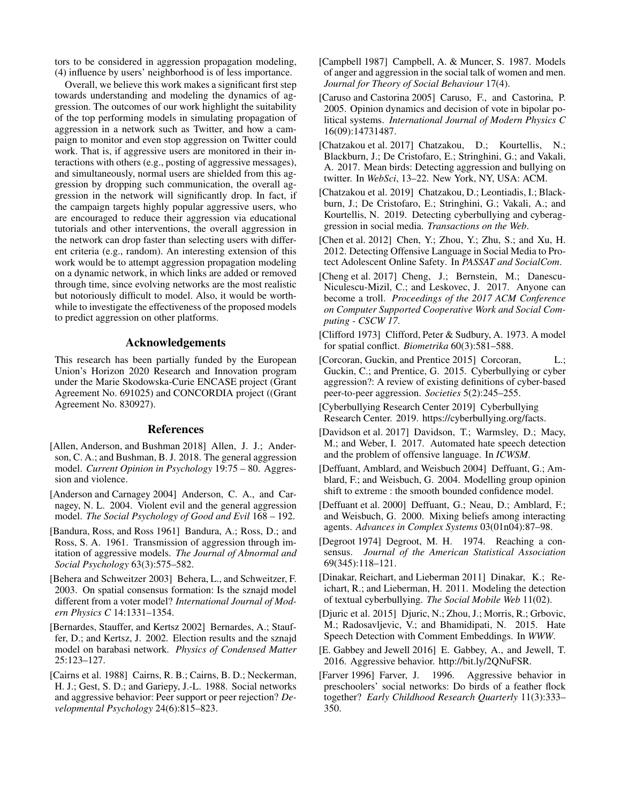tors to be considered in aggression propagation modeling, (4) influence by users' neighborhood is of less importance.

Overall, we believe this work makes a significant first step towards understanding and modeling the dynamics of aggression. The outcomes of our work highlight the suitability of the top performing models in simulating propagation of aggression in a network such as Twitter, and how a campaign to monitor and even stop aggression on Twitter could work. That is, if aggressive users are monitored in their interactions with others (e.g., posting of aggressive messages), and simultaneously, normal users are shielded from this aggression by dropping such communication, the overall aggression in the network will significantly drop. In fact, if the campaign targets highly popular aggressive users, who are encouraged to reduce their aggression via educational tutorials and other interventions, the overall aggression in the network can drop faster than selecting users with different criteria (e.g., random). An interesting extension of this work would be to attempt aggression propagation modeling on a dynamic network, in which links are added or removed through time, since evolving networks are the most realistic but notoriously difficult to model. Also, it would be worthwhile to investigate the effectiveness of the proposed models to predict aggression on other platforms.

### Acknowledgements

This research has been partially funded by the European Union's Horizon 2020 Research and Innovation program under the Marie Skodowska-Curie ENCASE project (Grant Agreement No. 691025) and CONCORDIA project ((Grant Agreement No. 830927).

#### References

- <span id="page-8-16"></span>[Allen, Anderson, and Bushman 2018] Allen, J. J.; Anderson, C. A.; and Bushman, B. J. 2018. The general aggression model. *Current Opinion in Psychology* 19:75 – 80. Aggression and violence.
- <span id="page-8-22"></span>[Anderson and Carnagey 2004] Anderson, C. A., and Carnagey, N. L. 2004. Violent evil and the general aggression model. *The Social Psychology of Good and Evil* 168 – 192.
- <span id="page-8-15"></span>[Bandura, Ross, and Ross 1961] Bandura, A.; Ross, D.; and Ross, S. A. 1961. Transmission of aggression through imitation of aggressive models. *The Journal of Abnormal and Social Psychology* 63(3):575–582.
- <span id="page-8-8"></span>[Behera and Schweitzer 2003] Behera, L., and Schweitzer, F. 2003. On spatial consensus formation: Is the sznajd model different from a voter model? *International Journal of Modern Physics C* 14:1331–1354.
- <span id="page-8-9"></span>[Bernardes, Stauffer, and Kertsz 2002] Bernardes, A.; Stauffer, D.; and Kertsz, J. 2002. Election results and the sznajd model on barabasi network. *Physics of Condensed Matter* 25:123–127.
- <span id="page-8-21"></span>[Cairns et al. 1988] Cairns, R. B.; Cairns, B. D.; Neckerman, H. J.; Gest, S. D.; and Gariepy, J.-L. 1988. Social networks and aggressive behavior: Peer support or peer rejection? *Developmental Psychology* 24(6):815–823.
- <span id="page-8-5"></span>[Campbell 1987] Campbell, A. & Muncer, S. 1987. Models of anger and aggression in the social talk of women and men. *Journal for Theory of Social Behaviour* 17(4).
- <span id="page-8-11"></span>[Caruso and Castorina 2005] Caruso, F., and Castorina, P. 2005. Opinion dynamics and decision of vote in bipolar political systems. *International Journal of Modern Physics C* 16(09):14731487.
- <span id="page-8-1"></span>[Chatzakou et al. 2017] Chatzakou, D.; Kourtellis, N.; Blackburn, J.; De Cristofaro, E.; Stringhini, G.; and Vakali, A. 2017. Mean birds: Detecting aggression and bullying on twitter. In *WebSci*, 13–22. New York, NY, USA: ACM.
- <span id="page-8-2"></span>[Chatzakou et al. 2019] Chatzakou, D.; Leontiadis, I.; Blackburn, J.; De Cristofaro, E.; Stringhini, G.; Vakali, A.; and Kourtellis, N. 2019. Detecting cyberbullying and cyberaggression in social media. *Transactions on the Web*.
- <span id="page-8-3"></span>[Chen et al. 2012] Chen, Y.; Zhou, Y.; Zhu, S.; and Xu, H. 2012. Detecting Offensive Language in Social Media to Protect Adolescent Online Safety. In *PASSAT and SocialCom*.
- <span id="page-8-20"></span>[Cheng et al. 2017] Cheng, J.; Bernstein, M.; Danescu-Niculescu-Mizil, C.; and Leskovec, J. 2017. Anyone can become a troll. *Proceedings of the 2017 ACM Conference on Computer Supported Cooperative Work and Social Computing - CSCW 17*.
- <span id="page-8-12"></span>[Clifford 1973] Clifford, Peter & Sudbury, A. 1973. A model for spatial conflict. *Biometrika* 60(3):581–588.
- <span id="page-8-6"></span>[Corcoran, Guckin, and Prentice 2015] Corcoran, L.; Guckin, C.; and Prentice, G. 2015. Cyberbullying or cyber aggression?: A review of existing definitions of cyber-based peer-to-peer aggression. *Societies* 5(2):245–255.
- <span id="page-8-0"></span>[Cyberbullying Research Center 2019] Cyberbullying Research Center. 2019. [https://cyberbullying.org/facts.](https://cyberbullying.org/facts)
- <span id="page-8-17"></span>[Davidson et al. 2017] Davidson, T.; Warmsley, D.; Macy, M.; and Weber, I. 2017. Automated hate speech detection and the problem of offensive language. In *ICWSM*.
- <span id="page-8-10"></span>[Deffuant, Amblard, and Weisbuch 2004] Deffuant, G.; Amblard, F.; and Weisbuch, G. 2004. Modelling group opinion shift to extreme : the smooth bounded confidence model.
- <span id="page-8-7"></span>[Deffuant et al. 2000] Deffuant, G.; Neau, D.; Amblard, F.; and Weisbuch, G. 2000. Mixing beliefs among interacting agents. *Advances in Complex Systems* 03(01n04):87–98.
- <span id="page-8-13"></span>[Degroot 1974] Degroot, M. H. 1974. Reaching a consensus. *Journal of the American Statistical Association* 69(345):118–121.
- <span id="page-8-18"></span>[Dinakar, Reichart, and Lieberman 2011] Dinakar, K.; Reichart, R.; and Lieberman, H. 2011. Modeling the detection of textual cyberbullying. *The Social Mobile Web* 11(02).
- <span id="page-8-4"></span>[Djuric et al. 2015] Djuric, N.; Zhou, J.; Morris, R.; Grbovic, M.; Radosavljevic, V.; and Bhamidipati, N. 2015. Hate Speech Detection with Comment Embeddings. In *WWW*.
- <span id="page-8-19"></span>[E. Gabbey and Jewell 2016] E. Gabbey, A., and Jewell, T. 2016. Aggressive behavior. [http://bit.ly/2QNuFSR.](http://bit.ly/2QNuFSR)
- <span id="page-8-14"></span>[Farver 1996] Farver, J. 1996. Aggressive behavior in preschoolers' social networks: Do birds of a feather flock together? *Early Childhood Research Quarterly* 11(3):333– 350.